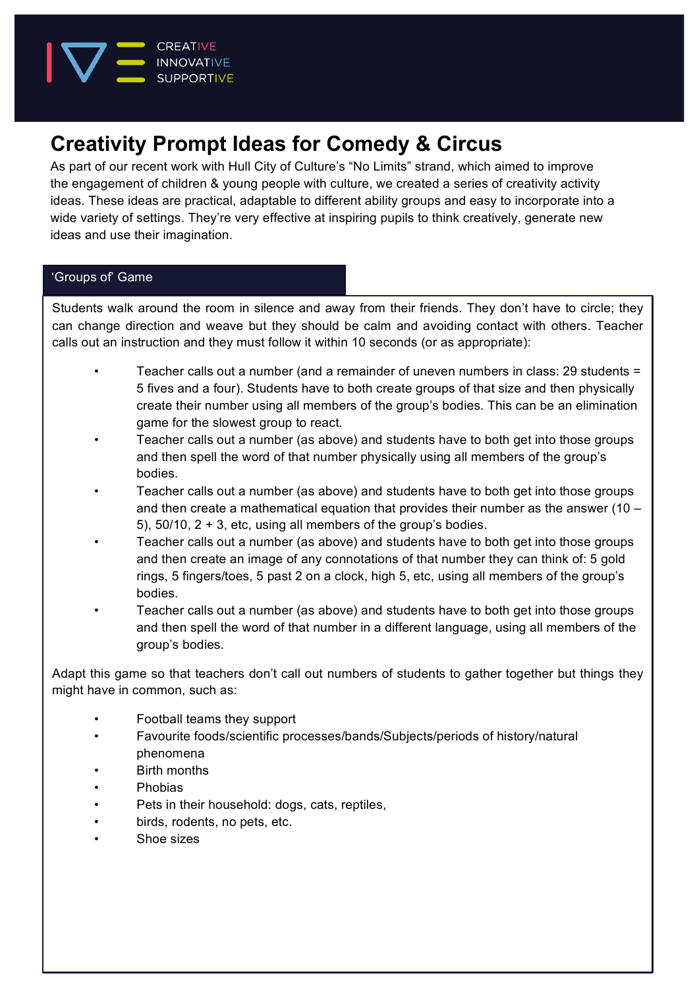

# **Creativity Prompt Ideas for Comedy & Circus**

As part of our recent work with Hull City of Culture's "No Limits" strand, which aimed to improve the engagement of children & young people with culture, we created a series of creativity activity ideas. These ideas are practical, adaptable to different ability groups and easy to incorporate into a wide variety of settings. They're very effective at inspiring pupils to think creatively, generate new ideas and use their imagination.

# 'Groups of' Game

Students walk around the room in silence and away from their friends. They don't have to circle; they can change direction and weave but they should be calm and avoiding contact with others. Teacher calls out an instruction and they must follow it within 10 seconds (or as appropriate):

- Teacher calls out a number (and a remainder of uneven numbers in class: 29 students = 5 fives and a four). Students have to both create groups of that size and then physically create their number using all members of the group's bodies. This can be an elimination game for the slowest group to react.
- Teacher calls out a number (as above) and students have to both get into those groups and then spell the word of that number physically using all members of the group's bodies.
- Teacher calls out a number (as above) and students have to both get into those groups and then create a mathematical equation that provides their number as the answer (10 – 5), 50/10, 2 + 3, etc, using all members of the group's bodies.
- Teacher calls out a number (as above) and students have to both get into those groups and then create an image of any connotations of that number they can think of: 5 gold rings, 5 fingers/toes, 5 past 2 on a clock, high 5, etc, using all members of the group's bodies.
- Teacher calls out a number (as above) and students have to both get into those groups and then spell the word of that number in a different language, using all members of the group's bodies.

Adapt this game so that teachers don't call out numbers of students to gather together but things they might have in common, such as:

- Football teams they support
- Favourite foods/scientific processes/bands/Subjects/periods of history/natural phenomena
- Birth months
- Phobias
- Pets in their household: dogs, cats, reptiles,
- birds, rodents, no pets, etc.
- Shoe sizes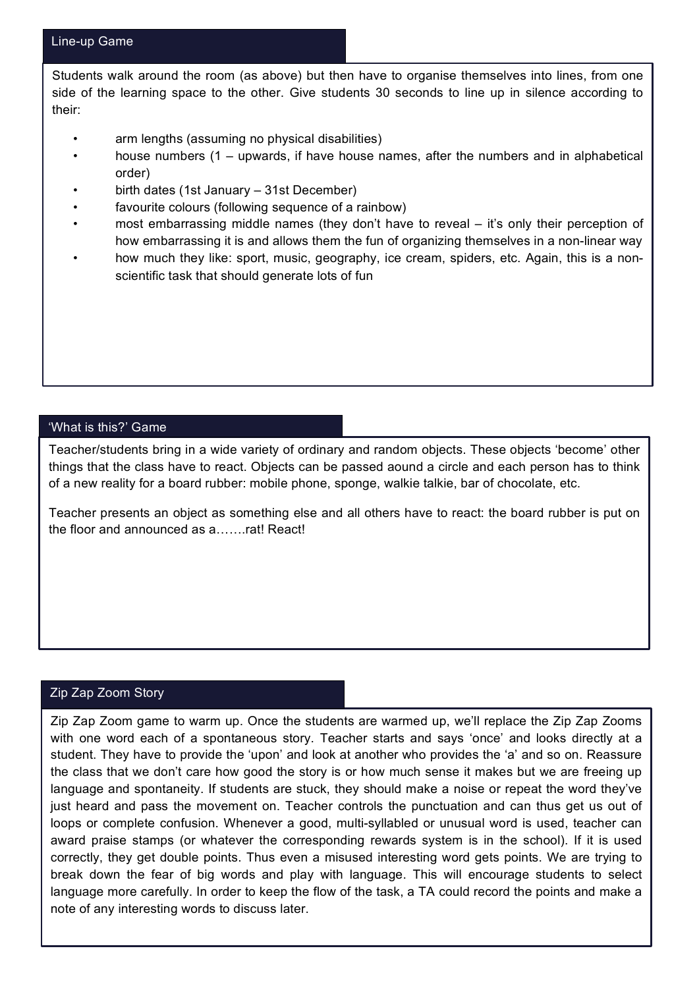Students walk around the room (as above) but then have to organise themselves into lines, from one side of the learning space to the other. Give students 30 seconds to line up in silence according to their:

- arm lengths (assuming no physical disabilities)
- house numbers (1 upwards, if have house names, after the numbers and in alphabetical order)
- birth dates (1st January 31st December)
- favourite colours (following sequence of a rainbow)
- most embarrassing middle names (they don't have to reveal it's only their perception of how embarrassing it is and allows them the fun of organizing themselves in a non-linear way
- how much they like: sport, music, geography, ice cream, spiders, etc. Again, this is a nonscientific task that should generate lots of fun

#### 'What is this?' Game

Teacher/students bring in a wide variety of ordinary and random objects. These objects 'become' other things that the class have to react. Objects can be passed aound a circle and each person has to think of a new reality for a board rubber: mobile phone, sponge, walkie talkie, bar of chocolate, etc.

Teacher presents an object as something else and all others have to react: the board rubber is put on the floor and announced as a…….rat! React!

## Zip Zap Zoom Story

Zip Zap Zoom game to warm up. Once the students are warmed up, we'll replace the Zip Zap Zooms with one word each of a spontaneous story. Teacher starts and says 'once' and looks directly at a student. They have to provide the 'upon' and look at another who provides the 'a' and so on. Reassure the class that we don't care how good the story is or how much sense it makes but we are freeing up language and spontaneity. If students are stuck, they should make a noise or repeat the word they've just heard and pass the movement on. Teacher controls the punctuation and can thus get us out of loops or complete confusion. Whenever a good, multi-syllabled or unusual word is used, teacher can award praise stamps (or whatever the corresponding rewards system is in the school). If it is used correctly, they get double points. Thus even a misused interesting word gets points. We are trying to break down the fear of big words and play with language. This will encourage students to select language more carefully. In order to keep the flow of the task, a TA could record the points and make a note of any interesting words to discuss later.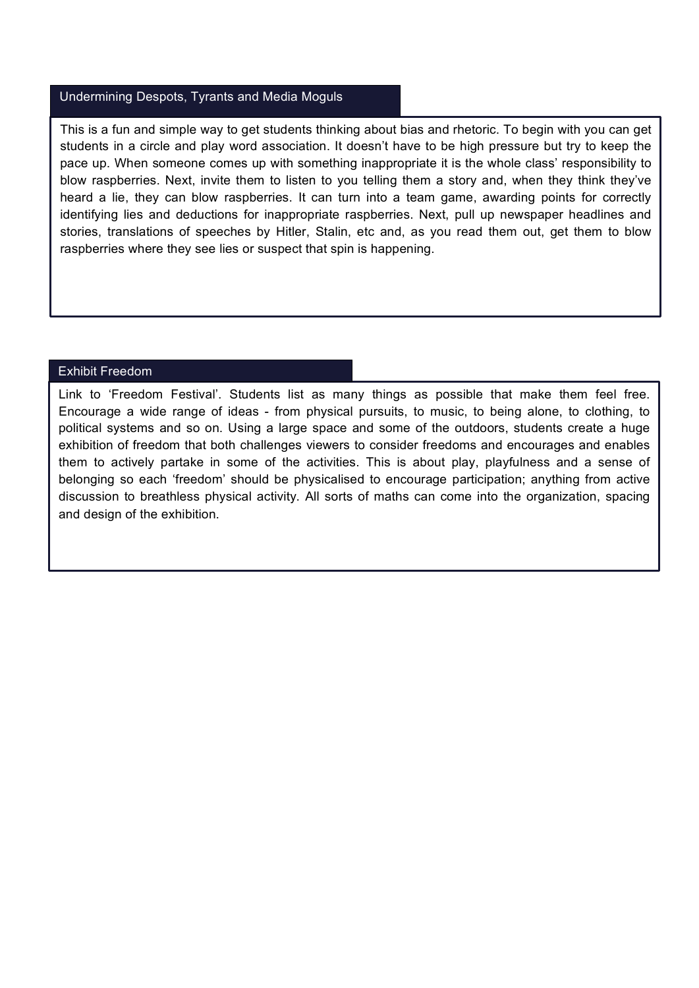# Undermining Despots, Tyrants and Media Moguls

This is a fun and simple way to get students thinking about bias and rhetoric. To begin with you can get students in a circle and play word association. It doesn't have to be high pressure but try to keep the pace up. When someone comes up with something inappropriate it is the whole class' responsibility to blow raspberries. Next, invite them to listen to you telling them a story and, when they think they've heard a lie, they can blow raspberries. It can turn into a team game, awarding points for correctly identifying lies and deductions for inappropriate raspberries. Next, pull up newspaper headlines and stories, translations of speeches by Hitler, Stalin, etc and, as you read them out, get them to blow raspberries where they see lies or suspect that spin is happening.

# Exhibit Freedom

Link to 'Freedom Festival'. Students list as many things as possible that make them feel free. Encourage a wide range of ideas - from physical pursuits, to music, to being alone, to clothing, to political systems and so on. Using a large space and some of the outdoors, students create a huge exhibition of freedom that both challenges viewers to consider freedoms and encourages and enables them to actively partake in some of the activities. This is about play, playfulness and a sense of belonging so each 'freedom' should be physicalised to encourage participation; anything from active discussion to breathless physical activity. All sorts of maths can come into the organization, spacing and design of the exhibition.